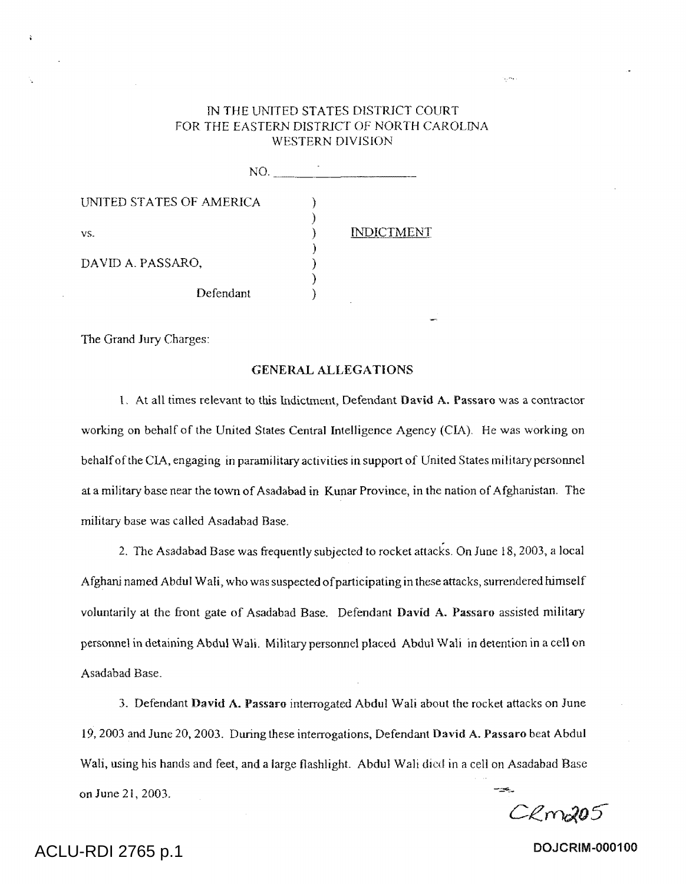## IN THE UNITED STATES DISTRICT COURT FOR THE EASTERN DISTRICT OF NORTH CAROLINA WESTERN DIVISION

ومرد

| NO.                      |                   |
|--------------------------|-------------------|
| UNITED STATES OF AMERICA |                   |
| vS.                      | <b>INDICTMENT</b> |
| DAVID A. PASSARO,        |                   |
| Defendant                |                   |

The Grand Jury Charges:

### GENERAL ALLEGATIONS

1. At all times relevant to this Indictment, Defendant David A. Passaro was a contractor working on behalf of the United States Central Intelligence Agency (CIA). He was working on behalf of the CIA, engaging in paramilitary activities in support of United States military personnel at a military base near the town of Asadabad in Kunar Province, in the nation of Afghanistan. The military base was called Asadabad Base.

2. The Asadabad Base was frequently subjected to rocket attacks. On June 18, 2003, a local Afghani named Abdul Wali, who was suspected of participating in these attacks, surrendered himself voluntarily at the front gate of Asadabad Base. Defendant David A. Passaro assisted military personnel in detaining Abdul Wall. Military personnel placed Abdul Wall in detention in a cell on Asadabad Base.

3. Defendant David A. Passaro interrogated Abdul Wali about the rocket attacks on June 19, 2003 and June 20, 2003. During these interrogations, Defendant David A. Passaro beat Abdul Wali, using his hands and feet, and a large flashlight. Abdul Wall died in a cell on Asadabad Base on June 2i, 2003.

 $C$  $Rm205$ 

# ACLU-RDI 2765 p.1 **DOJCRIM-000100**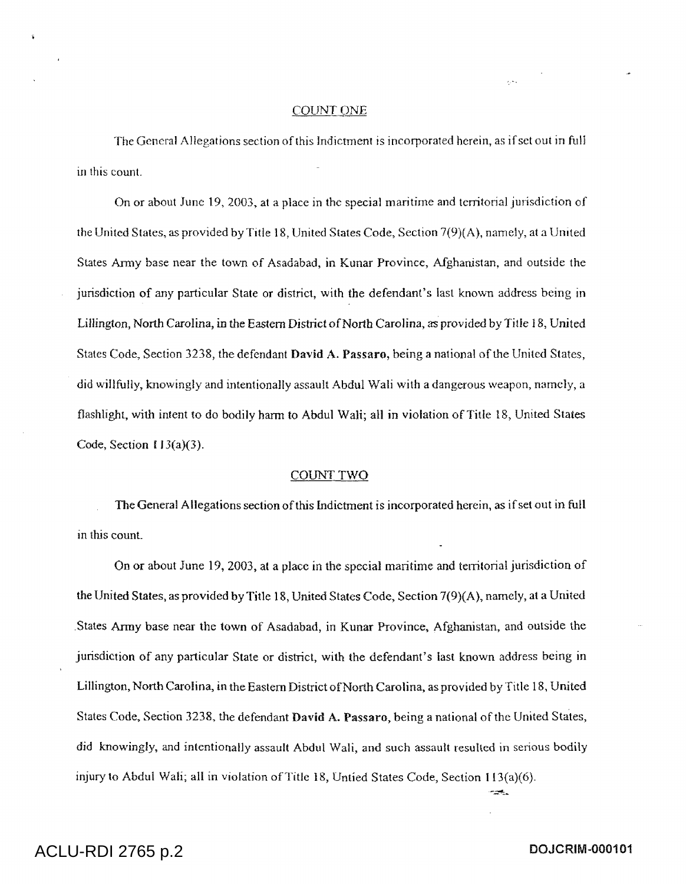#### COUNT ONE

The General Allegations section of this Indictment is incorporated herein, as if set out in full in this count.

On or about June 19, 2003, at a place in the special maritime and territorial jurisdiction of the United States, as provided by Title 18, United States Code, Section 7(9)(A), namely, at a United States Army base near the town of Asadabad, in Kunar Province, Afghanistan, and outside the jurisdiction of any particular State or district, with the defendant's last known address being in Lillington, North Carolina, in the Eastern District of North Carolina, as provided by Title 18, United States Code, Section 3238, the defendant David A. Passaro, being a national of the United States, did willfully, knowingly and intentionally assault Abdul Wali with a dangerous weapon, namely, a flashlight, with intent to do bodily harm to Abdul Wali; all in violation of Title 18, United States Code, Section 113(a)(3).

#### COUNT TWO

The General Allegations section of this Indictment is incorporated herein, as if set out in full in this count.

On or about June 19, 2003, at a place in the special maritime and territorial jurisdiction of the United States, as provided by Title 18, United States Code, Section 7(9)(A), namely, at a United States Army base near the town of Asadabad, in Kunar Province, Afghanistan, and outside the jurisdiction of any particular State or district, with the defendant's last known address being in Lillington, North Carolina, in the Eastern District ofNorth Carolina, as provided by Title 18, United States Code, Section 3238, the defendant **David** A. Passaro, being a national of the United States, did knowingly, and intentionally assault Abdul Wali, and such assault resulted in serious bodily injury to Abdul Wali; all in violation of Title 18, Untied States Code, Section 113(a)(6).

بحرم

# ACLU-RDI 2765 p.2 **DOJCRIM-000101**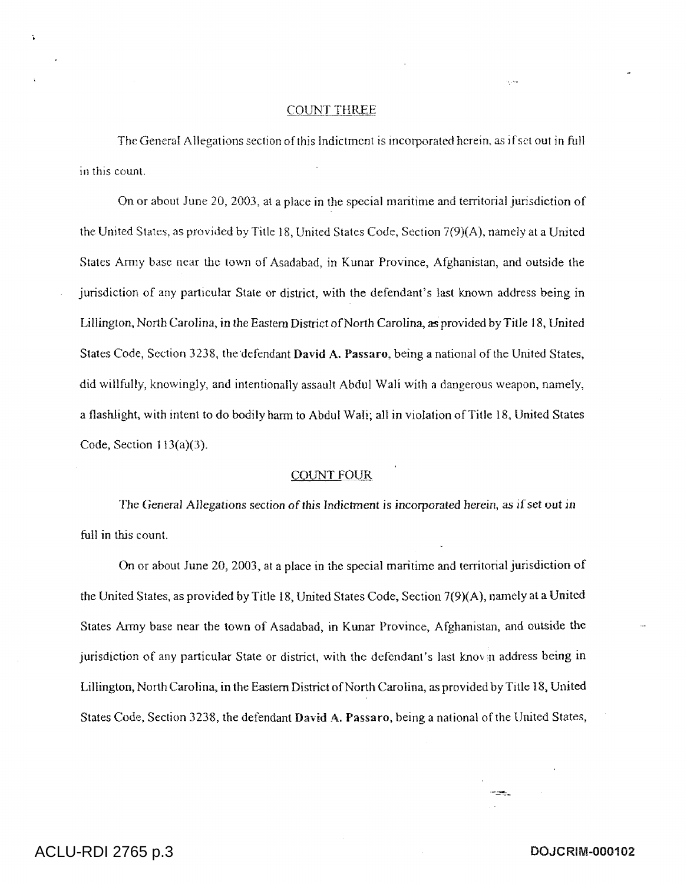#### COUNT THREE

The General Allegations section of this Indictment is incorporated herein, as if set out in full in this count.

On or about June 20, 2003, at a place in the special maritime and territorial jurisdiction of the United States, as provided by Title 18, United States Code, Section 7(9)(A), namely at a United States Army base near the town of Asadabad, in Kunar Province, Afghanistan, and outside the jurisdiction of any particular State or district, with the defendant's last known address being in Lillington, North Carolina, in the Eastern District of North Carolina., *as* provided by Title 18, United States Code, Section 3238, the defendant David A. Passaro, being a national of the United States, did willfully, knowingly, and intentionally assault Abdul Wali with a dangerous weapon, namely, a flashlight, with intent to do bodily harm to Abdul Wali; all in violation of Title 18, United States Code, Section  $113(a)(3)$ .

### COUNT FOUR

The General Allegations section of this Indictment is incorporated herein, *as if* set out in full in this count.

On or about June 20, 2003, at a place in the special maritime and territorial jurisdiction of the United States, as provided by Title 18, United States Code, Section 7(9)(A), namely at a United States Army base near the town of Asadabad, in Kunar Province, Afghanistan, and outside the jurisdiction of any particular State or district, with the defendant's last known address being in Lillington, North Carolina, in the Eastern District of North Carolina, as provided by Title 18, United States Code, Section 3238, the defendant David A. Passaro, being a national of the United States,

# ACLU-RDI 2765 p.3 **DOJCRIM-000102**